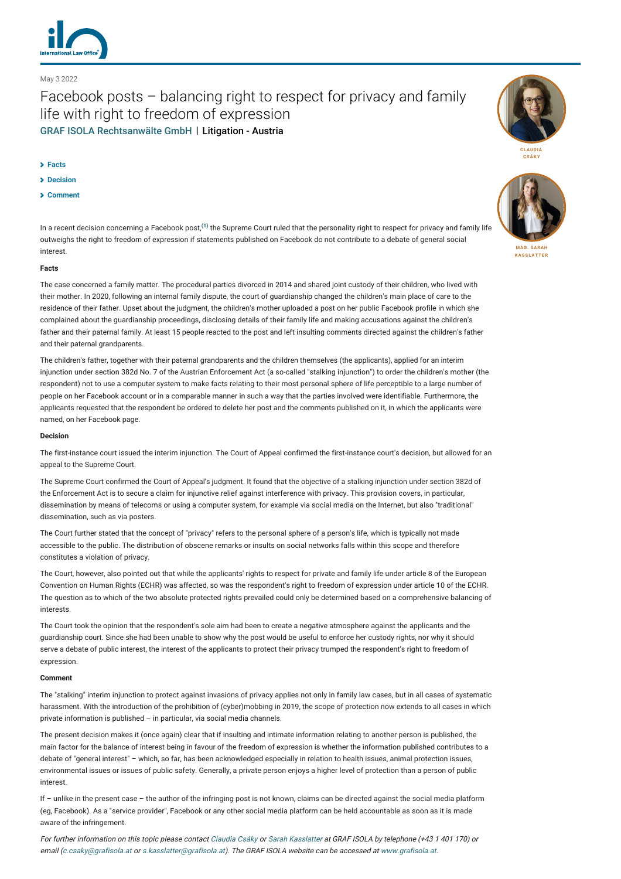

### May 3 2022

# Facebook posts – balancing right to respect for privacy and family life with right to freedom of expression [GRAF ISOLA Rechtsanwälte GmbH](http://lexology-legacy.lexology.svc.cluster.local/contributors/1239642) | Litigation - Austria

#### **[Facts](#page-0-0)**

- **[Decision](#page-0-1)**
- **[Comment](#page-0-2)**

In a recent decision concerning a Facebook post,**[\(1\)](#page-1-0)** the Supreme Court ruled that the personality right to respect for privacy and family life outweighs the right to freedom of expression if statements published on Facebook do not contribute to a debate of general social interest.

#### <span id="page-0-0"></span>**Facts**

The case concerned a family matter. The procedural parties divorced in 2014 and shared joint custody of their children, who lived with their mother. In 2020, following an internal family dispute, the court of guardianship changed the children's main place of care to the residence of their father. Upset about the judgment, the children's mother uploaded a post on her public Facebook profile in which she complained about the guardianship proceedings, disclosing details of their family life and making accusations against the children's father and their paternal family. At least 15 people reacted to the post and left insulting comments directed against the children's father and their paternal grandparents.

The children's father, together with their paternal grandparents and the children themselves (the applicants), applied for an interim injunction under section 382d No. 7 of the Austrian Enforcement Act (a so-called "stalking injunction") to order the children's mother (the respondent) not to use a computer system to make facts relating to their most personal sphere of life perceptible to a large number of people on her Facebook account or in a comparable manner in such a way that the parties involved were identifiable. Furthermore, the applicants requested that the respondent be ordered to delete her post and the comments published on it, in which the applicants were named, on her Facebook page.

#### <span id="page-0-1"></span>**Decision**

The first-instance court issued the interim injunction. The Court of Appeal confirmed the first-instance court's decision, but allowed for an appeal to the Supreme Court.

The Supreme Court confirmed the Court of Appeal's judgment. It found that the objective of a stalking injunction under section 382d of the Enforcement Act is to secure a claim for injunctive relief against interference with privacy. This provision covers, in particular, dissemination by means of telecoms or using a computer system, for example via social media on the Internet, but also "traditional" dissemination, such as via posters.

The Court further stated that the concept of "privacy" refers to the personal sphere of a person's life, which is typically not made accessible to the public. The distribution of obscene remarks or insults on social networks falls within this scope and therefore constitutes a violation of privacy.

The Court, however, also pointed out that while the applicants' rights to respect for private and family life under article 8 of the European Convention on Human Rights (ECHR) was affected, so was the respondent's right to freedom of expression under article 10 of the ECHR. The question as to which of the two absolute protected rights prevailed could only be determined based on a comprehensive balancing of interests.

The Court took the opinion that the respondent's sole aim had been to create a negative atmosphere against the applicants and the guardianship court. Since she had been unable to show why the post would be useful to enforce her custody rights, nor why it should serve a debate of public interest, the interest of the applicants to protect their privacy trumped the respondent's right to freedom of expression.

#### <span id="page-0-2"></span>**Comment**

The "stalking" interim injunction to protect against invasions of privacy applies not only in family law cases, but in all cases of systematic harassment. With the introduction of the prohibition of (cyber)mobbing in 2019, the scope of protection now extends to all cases in which private information is published – in particular, via social media channels.

The present decision makes it (once again) clear that if insulting and intimate information relating to another person is published, the main factor for the balance of interest being in favour of the freedom of expression is whether the information published contributes to a debate of "general interest" – which, so far, has been acknowledged especially in relation to health issues, animal protection issues, environmental issues or issues of public safety. Generally, a private person enjoys a higher level of protection than a person of public interest.

If – unlike in the present case – the author of the infringing post is not known, claims can be directed against the social media platform (eg, Facebook). As a "service provider", Facebook or any other social media platform can be held accountable as soon as it is made aware of the infringement.

For further information on this topic please contact [Claudia Csáky](https://www.lexology.com/1239642/author/Claudia_Cs_ky/) or [Sarah Kasslatter](https://www.lexology.com/1239642/author/Mag_Sarah_Kasslatter) at GRAF ISOLA by telephone (+43 1 401 170) or email [\(c.csaky@grafisola.at](mailto:c.csaky@grafisola.at?subject=ILO%20article) or [s.kasslatter@grafisola.at\)](mailto:s.kasslatter@grafisola.at?subject=ILO%20article). The GRAF ISOLA website can be accessed at [www.grafisola.at](http://www.grafisola.at/).





**MAG. SARAH [KASSLATTER](http://lexology-legacy.lexology.svc.cluster.local/1239642/author/Mag_Sarah_Kasslatter/)**